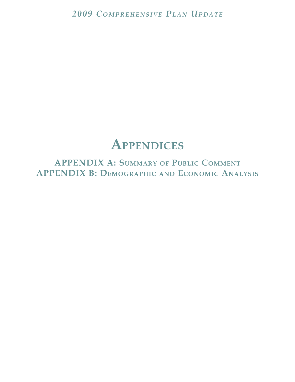# **APPENDICES**

**APPENDIX A: SUMMARY OF PUBLIC COMMENT APPENDIX B: DEMOGRAPHIC AND ECONOMIC ANALYSIS**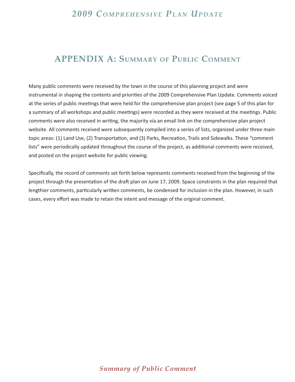## **APPENDIX A: SUMMARY OF PUBLIC COMMENT**

Many public comments were received by the town in the course of this planning project and were instrumental in shaping the contents and priorities of the 2009 Comprehensive Plan Update. Comments voiced at the series of public meetings that were held for the comprehensive plan project (see page 5 of this plan for a summary of all workshops and public meetings) were recorded as they were received at the meetings. Public comments were also received in writing, the majority via an email link on the comprehensive plan project website. All comments received were subsequently compiled into a series of lists, organized under three main topic areas: (1) Land Use, (2) Transportation, and (3) Parks, Recreation, Trails and Sidewalks. These "comment lists" were periodically updated throughout the course of the project, as additional comments were received, and posted on the project website for public viewing.

Specifically, the record of comments set forth below represents comments received from the beginning of the project through the presentation of the draft plan on June 17, 2009. Space constraints in the plan required that lengthier comments, particularly written comments, be condensed for inclusion in the plan. However, in such cases, every effort was made to retain the intent and message of the original comment.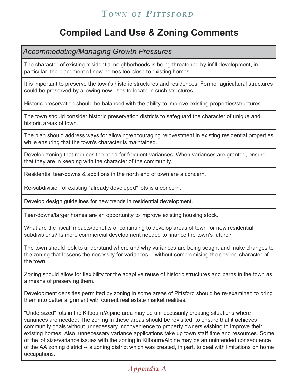## **Compiled Land Use & Zoning Comments**

*Accommodating/Managing Growth Pressures*

The character of existing residential neighborhoods is being threatened by infill development, in particular, the placement of new homes too close to existing homes.

It is important to preserve the town's historic structures and residences. Former agricultural structures could be preserved by allowing new uses to locate in such structures.

Historic preservation should be balanced with the ability to improve existing properties/structures.

The town should consider historic preservation districts to safeguard the character of unique and historic areas of town.

The plan should address ways for allowing/encouraging reinvestment in existing residential properties, while ensuring that the town's character is maintained.

Develop zoning that reduces the need for frequent variances. When variances are granted, ensure that they are in keeping with the character of the community.

Residential tear-downs & additions in the north end of town are a concern.

Re-subdivision of existing "already developed" lots is a concern.

Develop design guidelines for new trends in residential development.

Tear-downs/larger homes are an opportunity to improve existing housing stock.

What are the fiscal impacts/benefits of continuing to develop areas of town for new residential subdivisions? Is more commercial development needed to finance the town's future?

The town should look to understand where and why variances are being sought and make changes to the zoning that lessens the necessity for variances -- without compromising the desired character of the town.

Zoning should allow for flexibility for the adaptive reuse of historic structures and barns in the town as a means of preserving them.

Development densities permitted by zoning in some areas of Pittsford should be re-examined to bring them into better alignment with current real estate market realities.

"Undersized" lots in the Kilbourn/Alpine area may be unnecessarily creating situations where variances are needed. The zoning in these areas should be revisited, to ensure that it achieves community goals without unnecessary inconvenience to property owners wishing to improve their existing homes. Also, unnecessary variance applications take up town staff time and resources. Some of the lot size/variance issues with the zoning in Kilbourn/Alpine may be an unintended consequence of the AA zoning district -- a zoning district which was created, in part, to deal with limitations on home occupations.

## *Appendix A*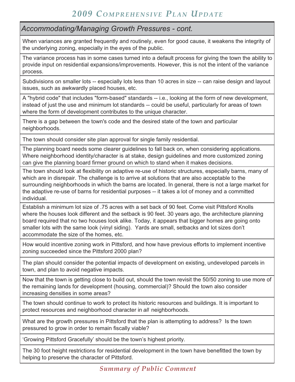#### *Accommodating/Managing Growth Pressures - cont.*

When variances are granted frequently and routinely, even for good cause, it weakens the integrity of the underlying zoning, especially in the eyes of the public.

The variance process has in some cases turned into a default process for giving the town the ability to provide input on residential expansions/improvements. However, this is not the intent of the variance process.

Subdivisions on smaller lots -- especially lots less than 10 acres in size -- can raise design and layout issues, such as awkwardly placed houses, etc.

A "hybrid code" that includes "form-based" standards -- i.e., looking at the form of new development, instead of just the use and minimum lot standards -- could be useful, particularly for areas of town where the form of development contributes to the unique character.

There is a gap between the town's code and the desired state of the town and particular neighborhoods.

The town should consider site plan approval for single family residential.

The planning board needs some clearer guidelines to fall back on, when considering applications. Where neighborhood identity/character is at stake, design guidelines and more customized zoning can give the planning board firmer ground on which to stand when it makes decisions.

The town should look at flexibility on adaptive re-use of historic structures, especially barns, many of which are in disrepair. The challenge is to arrive at solutions that are also acceptable to the surrounding neighborhoods in which the barns are located. In general, there is not a large market for the adaptive re-use of barns for residential purposes -- it takes a lot of money and a committed individual.

Establish a minimum lot size of .75 acres with a set back of 90 feet. Come visit Pittsford Knolls where the houses look different and the setback is 90 feet. 30 years ago, the architecture planning board required that no two houses look alike. Today, it appears that bigger homes are going onto smaller lots with the same look (vinyl siding). Yards are small, setbacks and lot sizes don't accommodate the size of the homes, etc.

How would incentive zoning work in Pittsford, and how have previous efforts to implement incentive zoning succeeded since the Pittsford 2000 plan?

The plan should consider the potential impacts of development on existing, undeveloped parcels in town, and plan to avoid negative impacts.

Now that the town is getting close to build out, should the town revisit the 50/50 zoning to use more of the remaining lands for development (housing, commercial)? Should the town also consider increasing densities in some areas?

The town should continue to work to protect its historic resources and buildings. It is important to protect resources and neighborhood character in *all* neighborhoods.

What are the growth pressures in Pittsford that the plan is attempting to address? Is the town pressured to grow in order to remain fiscally viable?

'Growing Pittsford Gracefully' should be the town's highest priority.

The 30 foot height restrictions for residential development in the town have benefitted the town by helping to preserve the character of Pittsford.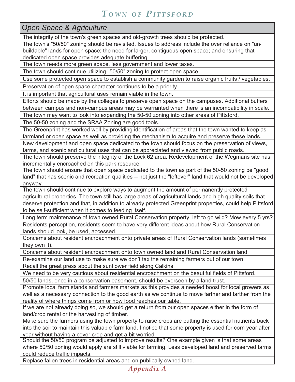*Open Space & Agriculture*

The integrity of the town's green spaces and old-growth trees should be protected.

The town's "50/50" zoning should be revisited. Issues to address include the over reliance on "unbuildable" lands for open space; the need for larger, contiguous open space; and ensuring that dedicated open space provides adequate buffering.

The town needs more green space, less government and lower taxes.

The town should continue utilizing "50/50" zoning to protect open space.

Use some protected open space to establish a community garden to raise organic fruits / vegetables.

Preservation of open space character continues to be a priority.

It is important that agricultural uses remain viable in the town.

Efforts should be made by the colleges to preserve open space on the campuses. Additional buffers between campus and non-campus areas may be warranted when there is an incompatibility in scale.

The town may want to look into expanding the 50-50 zoning into other areas of Pittsford.

The 50-50 zoning and the SRAA Zoning are good tools.

The Greenprint has worked well by providing identification of areas that the town wanted to keep as farmland or open space as well as providing the mechanism to acquire and preserve these lands.

New development and open space dedicated to the town should focus on the preservation of views, farms, and scenic and cultural uses that can be appreciated and viewed from public roads.

The town should preserve the integrity of the Lock 62 area. Redevelopment of the Wegmans site has incrementally encroached on this park resource.

The town should ensure that open space dedicated to the town as part of the 50-50 zoning be "good land" that has scenic and recreation qualities -- not just the "leftover" land that would not be developed anyway.

The town should continue to explore ways to augment the amount of permanently protected agricultural properties. The town still has large areas of agricultural lands and high quality soils that deserve protection and that, in addition to already protected Greenprint properties, could help Pittsford to be self-sufficient when it comes to feeding itself.

Long term maintenance of town owned Rural Conservation property, left to go wild? Mow every 5 yrs? Residents perception, residents seem to have very different ideas about how Rural Conservation lands should look, be used, accessed.

Concerns about resident encroachment onto private areas of Rural Conservation lands (sometimes they own it).

Concerns about resident encroachment onto town owned land and Rural Conservation land.

Re-examine our land use to make sure we don't tax the remaining farmers out of our town. Recall the great press about the sunflower field along Calkins.

We need to be very cautious about residential encroachment on the beautiful fields of Pittsford.

50/50 lands, once in a conservation easement, should be overseen by a land trust.

Promote local farm stands and farmers markets as this provides a needed boost for local growers as well as a necessary connection to the good earth as we continue to move farther and farther from the reality of where things come from or how food reaches our table.

If we are not already doing so, we should get a return from our open spaces either in the form of land/crop rental or the harvesting of timber.

Make sure the farmers using the town property to raise crops are putting the essential nutrients back into the soil to maintain this valuable farm land. I notice that some property is used for corn year after year without having a cover crop and get a bit worried.

Should the 50/50 program be adjusted to improve results? One example given is that some areas where 50/50 zoning would apply are still viable for farming. Less developed land and preserved farms could reduce traffic impacts.

Replace fallen trees in residential areas and on publically owned land.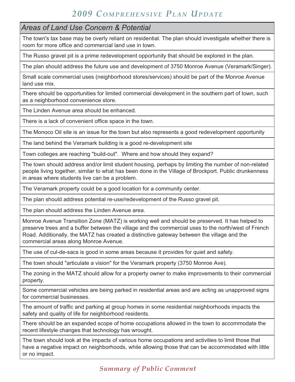#### *Areas of Land Use Concern & Potential*

The town's tax base may be overly reliant on residential. The plan should investigate whether there is room for more office and commercial land use in town.

The Russo gravel pit is a prime redevelopment opportunity that should be explored in the plan.

The plan should address the future use and development of 3750 Monroe Avenue (Veramark/Singer).

Small scale commercial uses (neighborhood stores/services) should be part of the Monroe Avenue land use mix.

There should be opportunities for limited commercial development in the southern part of town, such as a neighborhood convenience store.

The Linden Avenue area should be enhanced.

There is a lack of convenient office space in the town.

The Monoco Oil site is an issue for the town but also represents a good redevelopment opportunity

The land behind the Veramark building is a good re-development site

Town colleges are reaching "build-out". Where and how should they expand?

The town should address and/or limit student housing, perhaps by limiting the number of non-related people living together, similar to what has been done in the Village of Brockport. Public drunkenness in areas where students live can be a problem.

The Veramark property could be a good location for a community center.

The plan should address potential re-use/redevelopment of the Russo gravel pit.

The plan should address the Linden Avenue area.

Monroe Avenue Transition Zone (MATZ) is working well and should be preserved. It has helped to preserve trees and a buffer between the village and the commercial uses to the north/west of French Road. Additionally, the MATZ has created a distinctive gateway between the village and the commercial areas along Monroe Avenue.

The use of cul-de-sacs is good in some areas because it provides for quiet and safety.

The town should "articulate a vision" for the Veramark property (3750 Monroe Ave).

The zoning in the MATZ should allow for a property owner to make improvements to their commercial property.

Some commercial vehicles are being parked in residential areas and are acting as unapproved signs for commercial businesses.

The amount of traffic and parking at group homes in some residential neighborhoods impacts the safety and quality of life for neighborhood residents.

There should be an expanded scope of home occupations allowed in the town to accommodate the recent lifestyle changes that technology has wrought.

The town should look at the impacts of various home occupations and activities to limit those that have a negative impact on neighborhoods, while allowing those that can be accommodated with little or no impact.

*Summary of Public Comment*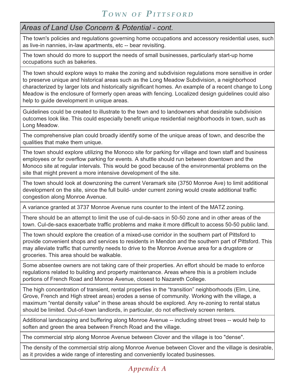### *Areas of Land Use Concern & Potential - cont.*

The town's policies and regulations governing home occupations and accessory residential uses, such as live-in nannies, in-law apartments, etc -- bear revisiting.

The town should do more to support the needs of small businesses, particularly start-up home occupations such as bakeries.

The town should explore ways to make the zoning and subdivision regulations more sensitive in order to preserve unique and historical areas such as the Long Meadow Subdivision, a neighborhood characterized by larger lots and historically significant homes. An example of a recent change to Long Meadow is the enclosure of formerly open areas with fencing. Localized design guidelines could also help to guide development in unique areas.

Guidelines could be created to illustrate to the town and to landowners what desirable subdivision outcomes look like. This could especially benefit unique residential neighborhoods in town, such as Long Meadow.

The comprehensive plan could broadly identify some of the unique areas of town, and describe the qualities that make them unique.

The town should explore utilizing the Monoco site for parking for village and town staff and business employees or for overflow parking for events. A shuttle should run between downtown and the Monoco site at regular intervals. This would be good because of the environmental problems on the site that might prevent a more intensive development of the site.

The town should look at downzoning the current Veramark site (3750 Monroe Ave) to limit additional development on the site, since the full build- under current zoning would create additional traffic congestion along Monroe Avenue.

A variance granted at 3737 Monroe Avenue runs counter to the intent of the MATZ zoning.

There should be an attempt to limit the use of cul-de-sacs in 50-50 zone and in other areas of the town. Cul-de-sacs exacerbate traffic problems and make it more difficult to access 50-50 public land.

The town should explore the creation of a mixed-use corridor in the southern part of Pittsford to provide convenient shops and services to residents in Mendon and the southern part of Pittsford. This may alleviate traffic that currently needs to drive to the Monroe Avenue area for a drugstore or groceries. This area should be walkable.

Some absentee owners are not taking care of their properties. An effort should be made to enforce regulations related to building and property maintenance. Areas where this is a problem include portions of French Road and Monroe Avenue, closest to Nazareth College.

The high concentration of transient, rental properties in the "transition" neighborhoods (Elm, Line, Grove, French and High street areas) erodes a sense of community. Working with the village, a maximum "rental density value" in these areas should be explored. Any re-zoning to rental status should be limited. Out-of-town landlords, in particular, do not effectively screen renters.

Additional landscaping and buffering along Monroe Avenue -- including street trees -- would help to soften and green the area between French Road and the village.

The commercial strip along Monroe Avenue between Clover and the village is too "dense".

The density of the commercial strip along Monroe Avenue between Clover and the village is desirable, as it provides a wide range of interesting and conveniently located businesses.

## *Appendix A*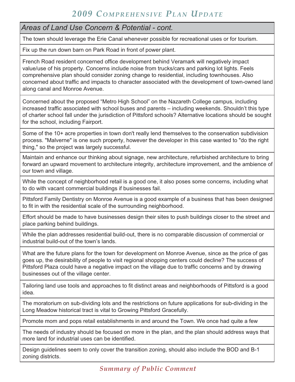*Areas of Land Use Concern & Potential - cont.*

The town should leverage the Erie Canal whenever possible for recreational uses or for tourism.

Fix up the run down barn on Park Road in front of power plant.

French Road resident concerned office development behind Veramark will negatively impact value/use of his property. Concerns include noise from trucks/cars and parking lot lights. Feels comprehensive plan should consider zoning change to residential, including townhouses. Also concerned about traffic and impacts to character associated with the development of town-owned land along canal and Monroe Avenue.

Concerned about the proposed "Metro High School" on the Nazareth College campus, including increased traffic associated with school buses and parents – including weekends. Shouldn't this type of charter school fall under the jurisdiction of Pittsford schools? Alternative locations should be sought for the school, including Fairport.

Some of the 10+ acre properties in town don't really lend themselves to the conservation subdivision process. "Malverne" is one such property, however the developer in this case wanted to "do the right thing," so the project was largely successful.

Maintain and enhance our thinking about signage, new architecture, refurbished architecture to bring forward an upward movement to architecture integrity, architecture improvement, and the ambience of our town and village.

While the concept of neighborhood retail is a good one, it also poses some concerns, including what to do with vacant commercial buildings if businesses fail.

Pittsford Family Dentistry on Monroe Avenue is a good example of a business that has been designed to fit in with the residential scale of the surrounding neighborhood.

Effort should be made to have businesses design their sites to push buildings closer to the street and place parking behind buildings.

While the plan addresses residential build-out, there is no comparable discussion of commercial or industrial build-out of the town's lands.

What are the future plans for the town for development on Monroe Avenue, since as the price of gas goes up, the desirability of people to visit regional shopping centers could decline? The success of Pittsford Plaza could have a negative impact on the village due to traffic concerns and by drawing businesses out of the village center.

Tailoring land use tools and approaches to fit distinct areas and neighborhoods of Pittsford is a good idea.

The moratorium on sub-dividing lots and the restrictions on future applications for sub-dividing in the Long Meadow historical tract is vital to Growing Pittsford Gracefully.

Promote mom and pops retail establishments in and around the Town. We once had quite a few

The needs of industry should be focused on more in the plan, and the plan should address ways that more land for industrial uses can be identified.

Design guidelines seem to only cover the transition zoning, should also include the BOD and B-1 zoning districts.

*Summary of Public Comment*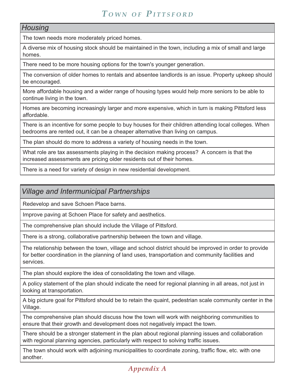#### *Housing*

The town needs more moderately priced homes.

A diverse mix of housing stock should be maintained in the town, including a mix of small and large homes.

There need to be more housing options for the town's younger generation.

The conversion of older homes to rentals and absentee landlords is an issue. Property upkeep should be encouraged.

More affordable housing and a wider range of housing types would help more seniors to be able to continue living in the town.

Homes are becoming increasingly larger and more expensive, which in turn is making Pittsford less affordable.

There is an incentive for some people to buy houses for their children attending local colleges. When bedrooms are rented out, it can be a cheaper alternative than living on campus.

The plan should do more to address a variety of housing needs in the town.

What role are tax assessments playing in the decision making process? A concern is that the increased assessments are pricing older residents out of their homes.

There is a need for variety of design in new residential development.

### *Village and Intermunicipal Partnerships*

Redevelop and save Schoen Place barns.

Improve paving at Schoen Place for safety and aesthetics.

The comprehensive plan should include the Village of Pittsford.

There is a strong, collaborative partnership between the town and village.

The relationship between the town, village and school district should be improved in order to provide for better coordination in the planning of land uses, transportation and community facilities and services.

The plan should explore the idea of consolidating the town and village.

A policy statement of the plan should indicate the need for regional planning in all areas, not just in looking at transportation.

A big picture goal for Pittsford should be to retain the quaint, pedestrian scale community center in the Village.

The comprehensive plan should discuss how the town will work with neighboring communities to ensure that their growth and development does not negatively impact the town.

There should be a stronger statement in the plan about regional planning issues and collaboration with regional planning agencies, particularly with respect to solving traffic issues.

The town should work with adjoining municipalities to coordinate zoning, traffic flow, etc. with one another.

## *Appendix A*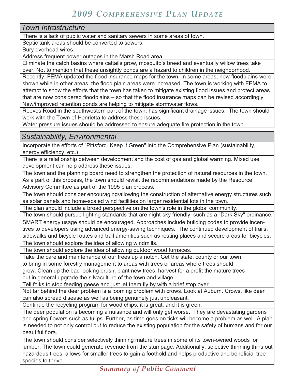*Town Infrastructure*

There is a lack of public water and sanitary sewers in some areas of town.

Septic tank areas should be converted to sewers.

Bury overhead wires.

Address frequent power outages in the Marsh Road area.

Eliminate the catch basins where cattails grow, mosquito's breed and eventually willow trees take over. Not to mention that these unsightly ponds are a hazard to children in the neighborhood.

Recently, FEMA updated the flood insurance maps for the town. In some areas, new floodplains were shown while in other areas, the flood plain areas were increased. The town is working with FEMA to attempt to show the efforts that the town has taken to mitigate existing flood issues and protect areas that are now considered floodplains – so that the flood insurance maps can be revised accordingly. New/improved retention ponds are helping to mitigate stormwater flows.

Reeves Road in the southwestern part of the town, has significant drainage issues. The town should work with the Town of Henrietta to address these issues.

Water pressure issues should be addressed to ensure adequate fire protection in the town.

*Sustainability, Environmental*

Incorporate the efforts of "Pittsford. Keep it Green" into the Comprehensive Plan (sustainability, energy efficiency, etc.)

There is a relationship between development and the cost of gas and global warming. Mixed use development can help address these issues.

The town and the planning board need to strengthen the protection of natural resources in the town. As a part of this process, the town should revisit the recommendations made by the Resource Advisory Committee as part of the 1995 plan process.

The town should consider encouraging/allowing the construction of alternative energy structures such as solar panels and home-scaled wind facilities on larger residential lots in the town.

The plan should include a broad perspective on the town's role in the global community.

The town should pursue lighting standards that are night-sky friendly, such as a "Dark Sky" ordinance. SMART energy usage should be encouraged. Approaches include building codes to provide incentives to developers using advanced energy-saving techniques. The continued development of trails,

sidewalks and bicycle routes and trail amenities such as resting places and secure areas for bicycles.

The town should explore the idea of allowing windmills.

The town should explore the idea of allowing outdoor wood furnaces.

Take the care and maintenance of our trees up a notch. Get the state, county or our town to bring in some forestry management to areas with trees or areas where trees should grow. Clean up the bad looking brush, plant new trees, harvest for a profit the mature trees but in general upgrade the silvaculture of the town and village.

Tell folks to stop feeding geese and just let them fly by with a brief stop over.

Not far behind the deer problem is a looming problem with crows. Look at Auburn. Crows, like deer can also spread disease as well as being genuinely just unpleasant.

Continue the recycling program for wood chips, it is great, and it is green.

The deer population is becoming a nuisance and will only get worse. They are devastating gardens and spring flowers such as tulips. Further, as time goes on ticks will become a problem as well. A plan is needed to not only control but to reduce the existing population for the safety of humans and for our beautiful flora.

The town should consider selectively thinning mature trees in some of its town-owned woods for lumber. The town could generate revenue from the stumpage. Additionally, selective thinning thins out hazardous trees, allows for smaller trees to gain a foothold and helps productive and beneficial tree species to thrive.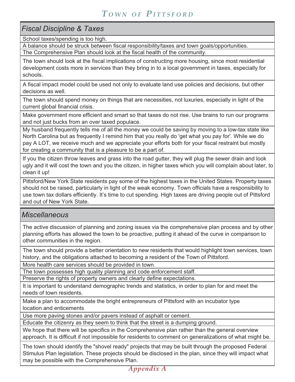#### *Fiscal Discipline & Taxes*

School taxes/spending is too high.

A balance should be struck between fiscal responsibility/taxes and town goals/opportunities. The Comprehensive Plan should look at the fiscal health of the community.

The town should look at the fiscal implications of constructing more housing, since most residential development costs more in services than they bring in to a local government in taxes, especially for schools.

A fiscal impact model could be used not only to evaluate land use policies and decisions, but other decisions as well.

The town should spend money on things that are necessities, not luxuries, especially in light of the current global financial crisis.

Make government more efficient and smart so that taxes do not rise. Use brains to run our programs and not just bucks from an over taxed populace.

My husband frequently tells me of all the money we could be saving by moving to a low-tax state like North Carolina but as frequently I remind him that you really do 'get what you pay for'. While we do pay A LOT, we receive much and we appreciate your efforts both for your fiscal restraint but mostly for creating a community that is a pleasure to be a part of.

If you the citizen throw leaves and grass into the road gutter, they will plug the sewer drain and look ugly and it will cost the town and you the citizen, in higher taxes which you will complain about later, to clean it up!

Pittsford/New York State residents pay some of the highest taxes in the United States. Property taxes should not be raised, particularly in light of the weak economy. Town officials have a responsibility to use town tax dollars efficiently. It's time to cut spending. High taxes are driving people out of Pittsford and out of New York State.

### *Miscellaneous*

The active discussion of planning and zoning issues via the comprehensive plan process and by other planning efforts has allowed the town to be proactive, putting it ahead of the curve in comparison to other communities in the region.

The town should provide a better orientation to new residents that would highlight town services, town history, and the obligations attached to becoming a resident of the Town of Pittsford.

More health care services should be provided in town.

The town possesses high quality planning and code enforcement staff.

Preserve the rights of property owners and clearly define expectations.

It is important to understand demographic trends and statistics, in order to plan for and meet the needs of town residents.

Make a plan to accommodate the bright entrepreneurs of Pittsford with an incubator type location and enticements

Use more paving stones and/or pavers instead of asphalt or cement.

Educate the citizenry as they seem to think that the street is a dumping ground.

We hope that there will be specifics in the Comprehensive plan rather than the general overview approach. It is difficult if not impossible for residents to comment on generalizations of what might be.

The town should identify the "shovel ready" projects that may be built through the proposed Federal Stimulus Plan legislation. These projects should be disclosed in the plan, since they will impact what may be possible with the Comprehensive Plan.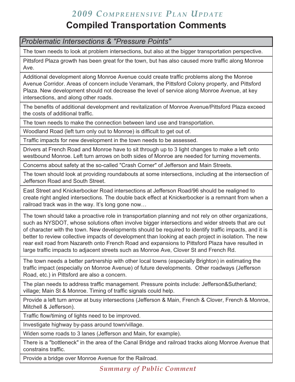## **Compiled Transportation Comments**

*Problematic Intersections & "Pressure Points"*

The town needs to look at problem intersections, but also at the bigger transportation perspective.

Pittsford Plaza growth has been great for the town, but has also caused more traffic along Monroe Ave.

Additional development along Monroe Avenue could create traffic problems along the Monroe Avenue Corridor. Areas of concern include Veramark, the Pittsford Colony property, and Pittsford Plaza. New development should not decrease the level of service along Monroe Avenue, at key intersections, and along other roads.

The benefits of additional development and revitalization of Monroe Avenue/Pittsford Plaza exceed the costs of additional traffic.

The town needs to make the connection between land use and transportation.

Woodland Road (left turn only out to Monroe) is difficult to get out of.

Traffic impacts for new development in the town needs to be assessed.

Drivers at French Road and Monroe have to sit through up to 3 light changes to make a left onto westbound Monroe. Left turn arrows on both sides of Monroe are needed for turning movements.

Concerns about safety at the so-called "Crash Corner" of Jefferson and Main Streets.

The town should look at providing roundabouts at some intersections, including at the intersection of Jefferson Road and South Street.

East Street and Knickerbocker Road intersections at Jefferson Road/96 should be realigned to create right angled intersections. The double back effect at Knickerbocker is a remnant from when a railroad track was in the way. It's long gone now…

The town should take a proactive role in transportation planning and not rely on other organizations, such as NYSDOT, whose solutions often involve bigger intersections and wider streets that are out of character with the town. New developments should be required to identify traffic impacts, and it is better to review collective impacts of development than looking at each project in isolation. The new rear exit road from Nazareth onto French Road and expansions to Pittsford Plaza have resulted in large traffic impacts to adjacent streets such as Monroe Ave, Clover St and French Rd.

The town needs a better partnership with other local towns (especially Brighton) in estimating the traffic impact (especially on Monroe Avenue) of future developments. Other roadways (Jefferson Road, etc.) in Pittsford are also a concern.

The plan needs to address traffic management. Pressure points include: Jefferson&Sutherland; village; Main St & Monroe. Timing of traffic signals could help.

Provide a left turn arrow at busy intersections (Jefferson & Main, French & Clover, French & Monroe, Mitchell & Jefferson).

Traffic flow/timing of lights need to be improved.

Investigate highway by-pass around town/village.

Widen some roads to 3 lanes (Jefferson and Main, for example).

There is a "bottleneck" in the area of the Canal Bridge and railroad tracks along Monroe Avenue that constrains traffic.

Provide a bridge over Monroe Avenue for the Railroad.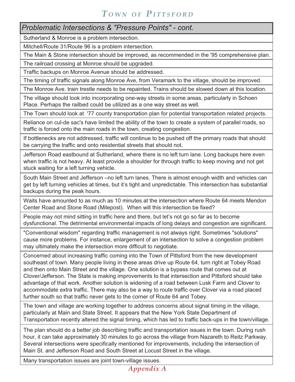*Problematic Intersections & "Pressure Points" - cont.*

Sutherland & Monroe is a problem intersection.

Mitchell/Route 31/Route 96 is a problem intersection.

The Main & Stone intersection should be improved, as recommended in the '95 comprehensive plan.

The railroad crossing at Monroe should be upgraded.

Traffic backups on Monroe Avenue should be addressed.

The timing of traffic signals along Monroe Ave, from Veramark to the village, should be improved.

The Monroe Ave. train trestle needs to be repainted. Trains should be slowed down at this location.

The village should look into incorporating one-way streets in some areas, particularly in Schoen Place. Perhaps the railbed could be utilized as a one way street as well.

The Town should look at '77 county transportation plan for potential transportation related projects.

Reliance on cul-de sac's have limited the ability of the town to create a system of parallel roads, so traffic is forced onto the main roads in the town, creating congestion.

If bottlenecks are not addressed, traffic will continue to be pushed off the primary roads that should be carrying the traffic and onto residential streets that should not.

Jefferson Road eastbound at Sutherland, where there is no left turn lane. Long backups here even when traffic is not heavy. At least provide a shoulder for through traffic to keep moving and not get stuck waiting for a left turning vehicle.

South Main Street and Jefferson –no left turn lanes. There is almost enough width and vehicles can get by left turning vehicles at times, but it's tight and unpredictable. This intersection has substantial backups during the peak hours.

Waits have amounted to as much as 10 minutes at the intersection where Route 64 meets Mendon Center Road and Stone Road (Milepost). When will this intersection be fixed?

People may not mind sitting in traffic here and there, but let's not go so far as to become dysfunctional. The detrimental environmental impacts of long delays and congestion are significant.

"Conventional wisdom" regarding traffic management is not always right. Sometimes "solutions" cause more problems. For instance, enlargement of an intersection to solve a congestion problem may ultimately make the intersection more difficult to negotiate.

Concerned about increasing traffic coming into the Town of Pittsford from the new development southeast of town. Many people living in these areas drive up Route 64, turn right at Tobey Road and then onto Main Street and the village. One solution is a bypass route that comes out at Clover/Jefferson. The State is making improvements to that intersection and Pittsford should take advantage of that work. Another solution is widening of a road between Lusk Farm and Clover to accommodate extra traffic. There may also be a way to route traffic over Clover via a road placed further south so that traffic never gets to the corner of Route 64 and Tobey.

The town and village are working together to address concerns about signal timing in the village, particularly at Main and State Street. It appears that the New York State Department of Transportation recently altered the signal timing, which has led to traffic back-ups in the town/village.

The plan should do a better job describing traffic and transportation issues in the town. During rush hour, it can take approximately 30 minutes to go across the village from Nazareth to Reitz Parkway. Several intersections were specifically mentioned for improvements, including the intersection of Main St. and Jefferson Road and South Street at Locust Street in the village.

Many transportation issues are joint town-village issues.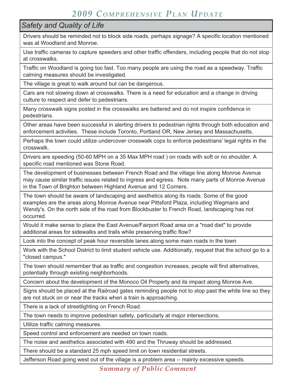### *Safety and Quality of Life*

Drivers should be reminded not to block side roads, perhaps signage? A specific location mentioned was at Woodland and Monroe.

Use traffic cameras to capture speeders and other traffic offenders, including people that do not stop at crosswalks.

Traffic on Woodland is going too fast. Too many people are using the road as a speedway. Traffic calming measures should be investigated.

The village is great to walk around but can be dangerous.

Cars are not slowing down at crosswalks. There is a need for education and a change in driving culture to respect and defer to pedestrians.

Many crosswalk signs posted in the crosswalks are battered and do not inspire confidence in pedestrians.

Other areas have been successful in alerting drivers to pedestrian rights through both education and enforcement activities. These include Toronto, Portland OR, New Jersey and Massachusetts.

Perhaps the town could utilize undercover crosswalk cops to enforce pedestrians' legal rights in the crosswalk.

Drivers are speeding (50-60 MPH on a 35 Max MPH road ) on roads with soft or no shoulder. A specific road mentioned was Stone Road.

The development of businesses between French Road and the village line along Monroe Avenue may cause similar traffic issues related to ingress and egress. Note many parts of Monroe Avenue in the Town of Brighton between Highland Avenue and 12 Corners.

The town should be aware of landscaping and aesthetics along its roads. Some of the good examples are the areas along Monroe Avenue near Pittsford Plaza, including Wegmans and Wendy's. On the north side of the road from Blockbuster to French Road, landscaping has not occurred.

Would it make sense to place the East Avenue/Fairport Road area on a "road diet" to provide additional areas for sidewalks and trails while preserving traffic flow?

Look into the concept of peak hour reversible lanes along some main roads in the town

Work with the School District to limit student vehicle use. Additionally, request that the school go to a "closed campus."

The town should remember that as traffic and congestion increases, people will find alternatives, potentially through existing neighborhoods.

Concern about the development of the Monoco Oil Property and its impact along Monroe Ave.

Signs should be placed at the Railroad gates reminding people not to stop past the white line so they are not stuck on or near the tracks when a train is approaching.

There is a lack of streetlighting on French Road.

The town needs to improve pedestrian safety, particularly at major intersections.

Utilize traffic calming measures.

Speed control and enforcement are needed on town roads.

The noise and aesthetics associated with 490 and the Thruway should be addressed.

There should be a standard 25 mph speed limit on town residential streets.

Jefferson Road going west out of the village is a problem area -- mainly excessive speeds.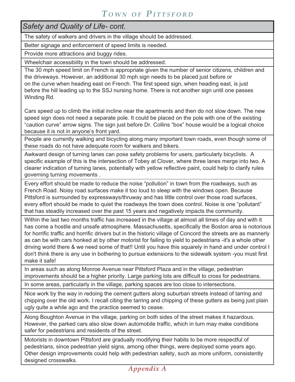| Safety and Quality of Life- cont. |  |  |
|-----------------------------------|--|--|
|-----------------------------------|--|--|

The safety of walkers and drivers in the village should be addressed.

Better signage and enforcement of speed limits is needed.

Provide more attractions and buggy rides.

Wheelchair accessibility in the town should be addressed.

The 30 mph speed limit on French is appropriate given the number of senior citizens, children and the driveways. However, an additional 30 mph sign needs to be placed just before or on the curve when heading east on French. The first speed sign, when heading east, is just before the hill leading up to the SSJ nursing home. There is not another sign until one passes Winding Rd.

Cars speed up to climb the initial incline near the apartments and then do not slow down. The new speed sign does not need a separate pole. It could be placed on the pole with one of the existing "caution curve" arrow signs. The sign just before Dr. Collins "box" house would be a logical choice because it is not in anyone's front yard.

People are currently walking and bicycling along many important town roads, even though some of these roads do not have adequate room for walkers and bikers.

Awkward design of turning lanes can pose safety problems for users, particularly bicyclists. A specific example of this is the intersection of Tobey at Clover, where three lanes merge into two. A clearer indication of turning lanes, potentially with yellow reflective paint, could help to clarify rules governing turning movements .

Every effort should be made to reduce the noise "pollution" in town from the roadways, such as French Road. Noisy road surfaces make it too loud to sleep with the windows open. Because Pittsford is surrounded by expressways/thruway and has little control over those road surfaces, every effort should be made to quiet the roadways the town does control. Noise is one "pollutant" that has steadily increased over the past 15 years and negatively impacts the community.

Within the last two months traffic has increased in the village at almost all times of day and with it has come a hostile and unsafe atmosphere. Massachusetts, specifically the Boston area is notorious for horrific traffic and horrific drivers but in the historic village of Concord the streets are as mannerly as can be with cars honked at by other motorist for failing to yield to pedestrians -it's a whole other driving world there & we need some of that!! Until you have this squarely in hand and under control I don't think there is any use in bothering to pursue extensions to the sidewalk system -you must first make it safe!

In areas such as along Monroe Avenue near Pittsford Plaza and in the village, pedestrian improvements should be a higher priority. Large parking lots are difficult to cross for pedestrians.

In some areas, particularly in the village, parking spaces are too close to intersections.

Nice work by the way in redoing the cement gutters along suburban streets instead of tarring and chipping over the old work. I recall citing the tarring and chipping of these gutters as being just plain ugly quite a while ago and the practice seemed to cease.

Along Boughton Avenue in the village, parking on both sides of the street makes it hazardous. However, the parked cars also slow down automobile traffic, which in turn may make conditions safer for pedestrians and residents of the street.

Motorists in downtown Pittsford are gradually modifying their habits to be more respectful of pedestrians, since pedestrian yield signs, among other things, were deployed some years ago. Other design improvements could help with pedestrian safety, such as more uniform, consistently designed crosswalks.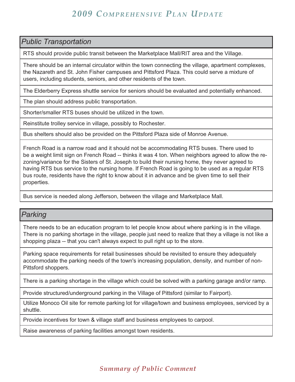#### *Public Transportation*

RTS should provide public transit between the Marketplace Mall/RIT area and the Village.

There should be an internal circulator within the town connecting the village, apartment complexes, the Nazareth and St. John Fisher campuses and Pittsford Plaza. This could serve a mixture of users, including students, seniors, and other residents of the town.

The Elderberry Express shuttle service for seniors should be evaluated and potentially enhanced.

The plan should address public transportation.

Shorter/smaller RTS buses should be utilized in the town.

Reinstitute trolley service in village, possibly to Rochester.

Bus shelters should also be provided on the Pittsford Plaza side of Monroe Avenue.

French Road is a narrow road and it should not be accommodating RTS buses. There used to be a weight limit sign on French Road -- thinks it was 4 ton. When neighbors agreed to allow the rezoning/variance for the Sisters of St. Joseph to build their nursing home, they never agreed to having RTS bus service to the nursing home. If French Road is going to be used as a regular RTS bus route, residents have the right to know about it in advance and be given time to sell their properties.

Bus service is needed along Jefferson, between the village and Marketplace Mall.

#### *Parking*

There needs to be an education program to let people know about where parking is in the village. There is no parking shortage in the village, people just need to realize that they a village is not like a shopping plaza -- that you can't always expect to pull right up to the store.

Parking space requirements for retail businesses should be revisited to ensure they adequately accommodate the parking needs of the town's increasing population, density, and number of non-Pittsford shoppers.

There is a parking shortage in the village which could be solved with a parking garage and/or ramp.

Provide structured/underground parking in the Village of Pittsford (similar to Fairport).

Utilize Monoco Oil site for remote parking lot for village/town and business employees, serviced by a shuttle.

Provide incentives for town & village staff and business employees to carpool.

Raise awareness of parking facilities amongst town residents.

### *Summary of Public Comment*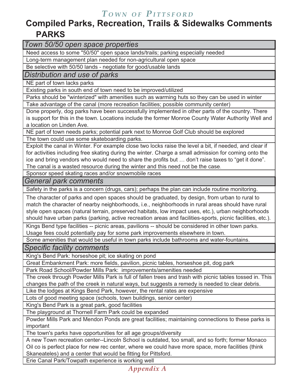## **Compiled Parks, Recreation, Trails & Sidewalks Comments PARKS**

*Town 50/50 open space properties*

Need access to some "50/50" open space lands/trails; parking especially needed

Long-term management plan needed for non-agricultural open space

Be selective with 50/50 lands - negotiate for good/usable lands

*Distribution and use of parks*

NE part of town lacks parks

Existing parks in south end of town need to be improved/utilized

Parks should be "winterized" with amenities such as warming huts so they can be used in winter

Take advantage of the canal (more recreation facilities; possible community center)

Done properly, dog parks have been successfully implemented in other parts of the country. There is support for this in the town. Locations include the former Monroe County Water Authority Well and a location on Linden Ave.

NE part of town needs parks; potential park next to Monroe Golf Club should be explored

The town could use some skateboarding parks.

Exploit the canal in Winter. For example close two locks raise the level a bit, if needed, and clear if for activities including free skating during the winter. Charge a small admission for coming onto the ice and bring vendors who would need to share the profits but … don't raise taxes to "get it done". The canal is a wasted resource during the winter and this need not be the case.

Sponsor speed skating races and/or snowmobile races

*General park comments*

Safety in the parks is a concern (drugs, cars); perhaps the plan can include routine monitoring.

The character of parks and open spaces should be graduated, by design, from urban to rural to match the character of nearby neighborhoods, i.e., neighborhoods in rural areas should have rural style open spaces (natural terrain, preserved habitats, low impact uses, etc.), urban neighborhoods should have urban parks (parking, active recreation areas and facilities-sports, picnic facilities, etc.).

Kings Bend type facilities -- picnic areas, pavilions -- should be considered in other town parks. Usage fees could potentially pay for some park improvements elsewhere in town.

Some amenities that would be useful in town parks include bathrooms and water-fountains.

*Specific facility comments*

King's Bend Park: horseshoe pit; ice skating on pond

Great Embankment Park: more fields, pavilion, picnic tables, horseshoe pit, dog park

Park Road School/Powder Mills Park: improvements/amenities needed

The creek through Powder Mills Park is full of fallen trees and trash with picnic tables tossed in. This changes the path of the creek in natural ways, but suggests a remedy is needed to clear debris.

Like the lodges at Kings Bend Park, however, the rental rates are expensive

Lots of good meeting space (schools, town buildings, senior center)

King's Bend Park is a great park, good facilities

The playground at Thornell Farm Park could be expanded

Powder Mills Park and Mendon Ponds are great facilities; maintaining connections to these parks is important

The town's parks have opportunities for all age groups/diversity

A new Town recreation center--Lincoln School is outdated, too small, and so forth; former Monaco Oil co is perfect place for new rec center, where we could have more space, more facilities (think Skaneateles) and a center that would be fitting for Pittsford.

Erie Canal Park/Towpath experience is working well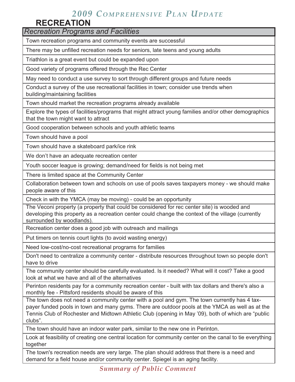## **RECREATION**

*Recreation Programs and Facilities*

Town recreation programs and community events are successful

There may be unfilled recreation needs for seniors, late teens and young adults

Triathlon is a great event but could be expanded upon

Good variety of programs offered through the Rec Center

May need to conduct a use survey to sort through different groups and future needs

Conduct a survey of the use recreational facilities in town; consider use trends when building/maintaining facilities

Town should market the recreation programs already available

Explore the types of facilities/programs that might attract young families and/or other demographics that the town might want to attract

Good cooperation between schools and youth athletic teams

Town should have a pool

Town should have a skateboard park/ice rink

We don't have an adequate recreation center

Youth soccer league is growing; demand/need for fields is not being met

There is limited space at the Community Center

Collaboration between town and schools on use of pools saves taxpayers money - we should make people aware of this

Check in with the YMCA (may be moving) - could be an opportunity

The Veconi property (a property that could be considered for rec center site) is wooded and developing this property as a recreation center could change the context of the village (currently surrounded by woodlands).

Recreation center does a good job with outreach and mailings

Put timers on tennis court lights (to avoid wasting energy)

Need low-cost/no-cost recreational programs for families

Don't need to centralize a community center - distribute resources throughout town so people don't have to drive

The community center should be carefully evaluated. Is it needed? What will it cost? Take a good look at what we have and all of the alternatives

Perinton residents pay for a community recreation center - built with tax dollars and there's also a monthly fee - Pittsford residents should be aware of this

The town does not need a community center with a pool and gym. The town currently has 4 taxpayer funded pools in town and many gyms. There are outdoor pools at the YMCA as well as at the Tennis Club of Rochester and Midtown Athletic Club (opening in May '09), both of which are "public clubs".

The town should have an indoor water park, similar to the new one in Perinton.

Look at feasibility of creating one central location for community center on the canal to tie everything together

The town's recreation needs are very large. The plan should address that there is a need and demand for a field house and/or community center. Spiegel is an aging facility.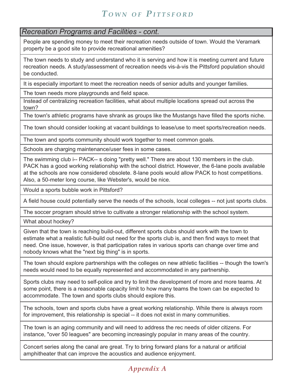#### *Recreation Programs and Facilities - cont.*

People are spending money to meet their recreation needs outside of town. Would the Veramark property be a good site to provide recreational amenities?

The town needs to study and understand who it is serving and how it is meeting current and future recreation needs. A study/assessment of recreation needs vis-à-vis the Pittsford population should be conducted.

It is especially important to meet the recreation needs of senior adults and younger families.

The town needs more playgrounds and field space.

Instead of centralizing recreation facilities, what about multiple locations spread out across the town?

The town's athletic programs have shrank as groups like the Mustangs have filled the sports niche.

The town should consider looking at vacant buildings to lease/use to meet sports/recreation needs.

The town and sports community should work together to meet common goals.

Schools are charging maintenance/user fees in some cases.

The swimming club i-- PACK-- s doing "pretty well." There are about 130 members in the club. PACK has a good working relationship with the school district. However, the 6-lane pools available at the schools are now considered obsolete. 8-lane pools would allow PACK to host competitions. Also, a 50-meter long course, like Webster's, would be nice.

Would a sports bubble work in Pittsford?

A field house could potentially serve the needs of the schools, local colleges -- not just sports clubs.

The soccer program should strive to cultivate a stronger relationship with the school system.

What about hockey?

Given that the town is reaching build-out, different sports clubs should work with the town to estimate what a realistic full-build out need for the sports club is, and then find ways to meet that need. One issue, however, is that participation rates in various sports can change over time and nobody knows what the "next big thing" is in sports.

The town should explore partnerships with the colleges on new athletic facilities -- though the town's needs would need to be equally represented and accommodated in any partnership.

Sports clubs may need to self-police and try to limit the development of more and more teams. At some point, there is a reasonable capacity limit to how many teams the town can be expected to accommodate. The town and sports clubs should explore this.

The schools, town and sports clubs have a great working relationship. While there is always room for improvement, this relationship is special -- it does not exist in many communities.

The town is an aging community and will need to address the rec needs of older citizens. For instance, "over 50 leagues" are becoming increasingly popular in many areas of the country.

Concert series along the canal are great. Try to bring forward plans for a natural or artificial amphitheater that can improve the acoustics and audience enjoyment.

## *Appendix A*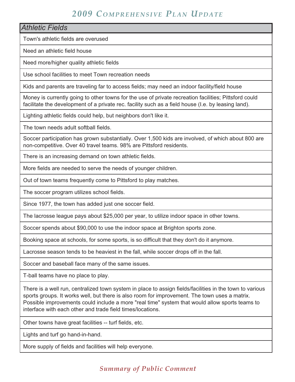Town's athletic fields are overused Need an athletic field house Need more/higher quality athletic fields Use school facilities to meet Town recreation needs Kids and parents are traveling far to access fields; may need an indoor facility/field house Money is currently going to other towns for the use of private recreation facilities; Pittsford could facilitate the development of a private rec. facility such as a field house (I.e. by leasing land). *Athletic Fields*

Lighting athletic fields could help, but neighbors don't like it.

The town needs adult softball fields.

Soccer participation has grown substantially. Over 1,500 kids are involved, of which about 800 are non-competitive. Over 40 travel teams. 98% are Pittsford residents.

There is an increasing demand on town athletic fields.

More fields are needed to serve the needs of younger children.

Out of town teams frequently come to Pittsford to play matches.

The soccer program utilizes school fields.

Since 1977, the town has added just one soccer field.

The lacrosse league pays about \$25,000 per year, to utilize indoor space in other towns.

Soccer spends about \$90,000 to use the indoor space at Brighton sports zone.

Booking space at schools, for some sports, is so difficult that they don't do it anymore.

Lacrosse season tends to be heaviest in the fall, while soccer drops off in the fall.

Soccer and baseball face many of the same issues.

T-ball teams have no place to play.

There is a well run, centralized town system in place to assign fields/facilities in the town to various sports groups. It works well, but there is also room for improvement. The town uses a matrix. Possible improvements could include a more "real time" system that would allow sports teams to interface with each other and trade field times/locations.

Other towns have great facilities -- turf fields, etc.

Lights and turf go hand-in-hand.

More supply of fields and facilities will help everyone.

#### *Summary of Public Comment*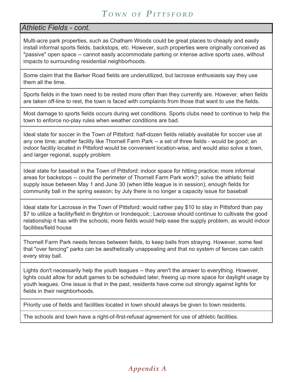### *Athletic Fields - cont.*

Multi-acre park properties, such as Chatham Woods could be great places to cheaply and easily install informal sports fields, backstops, etc. However, such properties were originally conceived as "passive" open space -- cannot easily accommodate parking or intense active sports uses, without impacts to surrounding residential neighborhoods.

Some claim that the Barker Road fields are underutilized, but lacrosse enthusiasts say they use them all the time.

Sports fields in the town need to be rested more often than they currently are. However, when fields are taken off-line to rest, the town is faced with complaints from those that want to use the fields.

Most damage to sports fields occurs during wet conditions. Sports clubs need to continue to help the town to enforce no-play rules when weather conditions are bad.

Ideal state for soccer in the Town of Pittsford: half-dozen fields reliably available for soccer use at any one time; another facility like Thornell Farm Park -- a set of three fields - would be good; an indoor facility located in Pittsford would be convenient location-wise, and would also solve a town, and larger regional, supply problem

Ideal state for baseball in the Town of Pittsford: indoor space for hitting practice; more informal areas for backstops -- could the perimeter of Thornell Farm Park work?; solve the athletic field supply issue between May 1 and June 30 (when little league is in session); enough fields for community ball in the spring season; by July there is no longer a capacity issue for baseball

Ideal state for Lacrosse in the Town of Pittsford: would rather pay \$10 to stay in Pittsford than pay \$7 to utilize a facility/field in Brighton or Irondequoit.; Lacrosse should continue to cultivate the good relationship it has with the schools; more fields would help ease the supply problem, as would indoor facilities/field house

Thornell Farm Park needs fences between fields, to keep balls from straying. However, some feel that "over fencing" parks can be aesthetically unappealing and that no system of fences can catch every stray ball.

Lights don't necessarily help the youth leagues -- they aren't the answer to everything. However, lights could allow for adult games to be scheduled later, freeing up more space for daylight usage by youth leagues. One issue is that in the past, residents have come out strongly against lights for fields in their neighborhoods.

Priority use of fields and facilities located in town should always be given to town residents.

The schools and town have a right-of-first-refusal agreement for use of athletic facilities.

## *Appendix A*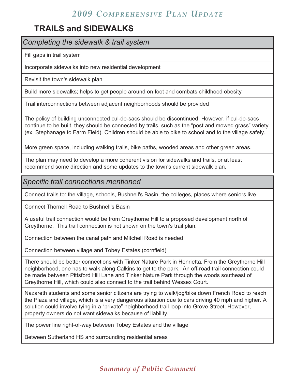## **TRAILS and SIDEWALKS**

*Completing the sidewalk & trail system*

Fill gaps in trail system

Incorporate sidewalks into new residential development

Revisit the town's sidewalk plan

Build more sidewalks; helps to get people around on foot and combats childhood obesity

Trail interconnections between adjacent neighborhoods should be provided

The policy of building unconnected cul-de-sacs should be discontinued. However, if cul-de-sacs continue to be built, they should be connected by trails, such as the "post and mowed grass" variety (ex. Stephanage to Farm Field). Children should be able to bike to school and to the village safely.

More green space, including walking trails, bike paths, wooded areas and other green areas.

The plan may need to develop a more coherent vision for sidewalks and trails, or at least recommend some direction and some updates to the town's current sidewalk plan.

*Specific trail connections mentioned*

Connect trails to: the village, schools, Bushnell's Basin, the colleges, places where seniors live

Connect Thornell Road to Bushnell's Basin

A useful trail connection would be from Greythorne Hill to a proposed development north of Greythorne. This trail connection is not shown on the town's trail plan.

Connection between the canal path and Mitchell Road is needed

Connection between village and Tobey Estates (cornfield)

There should be better connections with Tinker Nature Park in Henrietta. From the Greythorne Hill neighborhood, one has to walk along Calkins to get to the park. An off-road trail connection could be made between Pittsford Hill Lane and Tinker Nature Park through the woods southeast of Greythorne Hill, which could also connect to the trail behind Wessex Court.

Nazareth students and some senior citizens are trying to walk/jog/bike down French Road to reach the Plaza and village, which is a very dangerous situation due to cars driving 40 mph and higher. A solution could involve tying in a "private" neighborhood trail loop into Grove Street. However, property owners do not want sidewalks because of liability.

The power line right-of-way between Tobey Estates and the village

Between Sutherland HS and surrounding residential areas

## *Summary of Public Comment*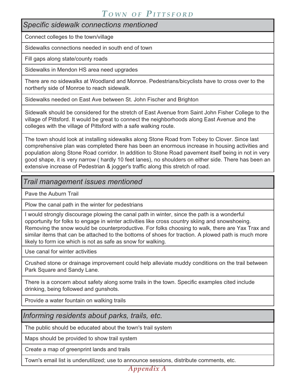*Specific sidewalk connections mentioned*

Connect colleges to the town/village

Sidewalks connections needed in south end of town

Fill gaps along state/county roads

Sidewalks in Mendon HS area need upgrades

There are no sidewalks at Woodland and Monroe. Pedestrians/bicyclists have to cross over to the northerly side of Monroe to reach sidewalk.

Sidewalks needed on East Ave between St. John Fischer and Brighton

Sidewalk should be considered for the stretch of East Avenue from Saint John Fisher College to the village of Pittsford. It would be great to connect the neighborhoods along East Avenue and the colleges with the village of Pittsford with a safe walking route.

The town should look at installing sidewalks along Stone Road from Tobey to Clover. Since last comprehensive plan was completed there has been an enormous increase in housing activities and population along Stone Road corridor. In addition to Stone Road pavement itself being in not in very good shape, it is very narrow ( hardly 10 feet lanes), no shoulders on either side. There has been an extensive increase of Pedestrian & jogger's traffic along this stretch of road.

#### *Trail management issues mentioned*

Pave the Auburn Trail

Plow the canal path in the winter for pedestrians

I would strongly discourage plowing the canal path in winter, since the path is a wonderful opportunity for folks to engage in winter activities like cross country skiing and snowshoeing. Removing the snow would be counterproductive. For folks choosing to walk, there are Yax Trax and similar items that can be attached to the bottoms of shoes for traction. A plowed path is much more likely to form ice which is not as safe as snow for walking.

Use canal for winter activities

Crushed stone or drainage improvement could help alleviate muddy conditions on the trail between Park Square and Sandy Lane.

There is a concern about safety along some trails in the town. Specific examples cited include drinking, being followed and gunshots.

Provide a water fountain on walking trails

*Informing residents about parks, trails, etc.*

The public should be educated about the town's trail system

Maps should be provided to show trail system

Create a map of greenprint lands and trails

Town's email list is underutilized; use to announce sessions, distribute comments, etc.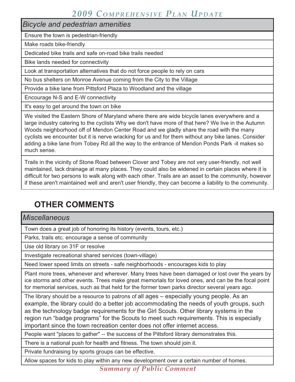*Bicycle and pedestrian amenities*

Ensure the town is pedestrian-friendly

Make roads bike-friendly

Dedicated bike trails and safe on-road bike trails needed

Bike lands needed for connectivity

Look at transportation alternatives that do not force people to rely on cars

No bus shelters on Monroe Avenue coming from the City to the Village

Provide a bike lane from Pittsford Plaza to Woodland and the village

Encourage N-S and E-W connectivity

It's easy to get around the town on bike

We visited the Eastern Shore of Maryland where there are wide bicycle lanes everywhere and a large industry catering to the cyclists Why we don't have more of that here? We live in the Autumn Woods neighborhood off of Mendon Center Road and we gladly share the road with the many cyclists we encounter but it is nerve wracking for us and for them without any bike lanes. Consider adding a bike lane from Tobey Rd all the way to the entrance of Mendon Ponds Park -it makes so much sense.

Trails in the vicinity of Stone Road between Clover and Tobey are not very user-friendly, not well maintained, lack drainage at many places. They could also be widened in certain places where it is difficult for two persons to walk along with each other. Trails are an asset to the community, however if these aren't maintained well and aren't user friendly, they can become a liability to the community.

## **OTHER COMMENTS**

*Miscellaneous*

Town does a great job of honoring its history (events, tours, etc.)

Parks, trails etc. encourage a sense of community

Use old library on 31F or resolve

Investigate recreational shared services (town-village)

Need lower speed limits on streets - safe neighborhoods - encourages kids to play

Plant more trees, whenever and wherever. Many trees have been damaged or lost over the years by ice storms and other events. Trees make great memorials for loved ones, and can be the focal point for memorial services, such as that held for the former town parks director several years ago.

The library should be a resource to patrons of all ages – especially young people. As an example, the library could do a better job accommodating the needs of youth groups, such as the technology badge requirements for the Girl Scouts. Other library systems in the region run "badge programs" for the Scouts to meet such requirements. This is especially important since the town recreation center does not offer internet access.

People want "places to gather" -- the success of the Pittsford library demonstrates this.

There is a national push for health and fitness. The town should join it.

Private fundraising by sports groups can be effective.

Allow spaces for kids to play within any new development over a certain number of homes.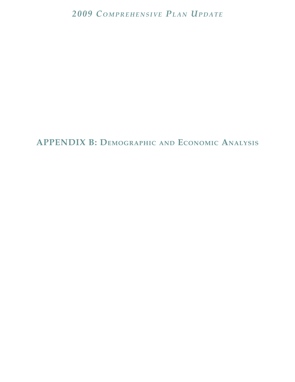**APPENDIX B: DEMOGRAPHIC AND ECONOMIC ANALYSIS**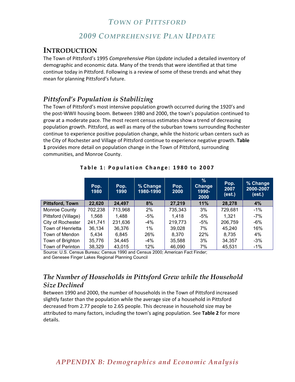#### *2009 COMPREHENSIVE PLAN UPDATE*

#### **INTRODUCTION**

The Town of Pittsford's 1995 *Comprehensive-Plan-Update* included a detailed inventory of demographic and economic data. Many of the trends that were identified at that time continue today in Pittsford. Following is a review of some of these trends and what they mean for planning Pittsford's future.

#### *Pittsford's Population is Stabilizing*

The Town of Pittsford's most intensive population growth occurred during the 1920's and the post-WWII housing boom. Between 1980 and 2000, the town's population continued to grow at a moderate pace. The most recent census estimates show a trend of decreasing population growth. Pittsford, as well as many of the suburban towns surrounding Rochester continue to experience positive population change, while the historic urban centers such as the City of Rochester and Village of Pittsford continue to experience negative growth. **Table- 1** provides more detail on population change in the Town of Pittsford, surrounding communities, and Monroe County.

|                        | Pop.<br>1980 | Pop.<br>1990 | % Change<br>1980-1990 | Pop.<br>2000 | $\%$<br><b>Change</b><br>1990-<br>2000 | Pop.<br>2007<br>(est.) | % Change<br>2000-2007<br>(est.) |
|------------------------|--------------|--------------|-----------------------|--------------|----------------------------------------|------------------------|---------------------------------|
| <b>Pittsford, Town</b> | 22,620       | 24,497       | 8%                    | 27,219       | 11%                                    | 28,278                 | 4%                              |
| Monroe County          | 702,238      | 713,968      | 2%                    | 735,343      | 3%                                     | 729,681                | $-1\%$                          |
| Pittsford (Village)    | 1,568        | 1,488        | -5%                   | 1,418        | -5%                                    | 1,321                  | -7%                             |
| City of Rochester      | 241,741      | 231,636      | $-4\%$                | 219,773      | -5%                                    | 206,759                | -6%                             |
| Town of Henrietta      | 36,134       | 36,376       | $1\%$                 | 39,028       | 7%                                     | 45,240                 | 16%                             |
| Town of Mendon         | 5,434        | 6,845        | 26%                   | 8,370        | 22%                                    | 8,735                  | 4%                              |
| Town of Brighton       | 35,776       | 34,445       | $-4\%$                | 35,588       | 3%                                     | 34,357                 | $-3%$                           |
| Town of Perinton       | 38,329       | 43,015       | 12%                   | 46,090       | 7%                                     | 45,531                 | $-1%$                           |

**Table 1: Population Change: 1980 to 2007** 

Source: U.S. Census Bureau; Census 1990 and Census 2000; American Fact Finder; and Genesee Finger Lakes Regional Planning Council 

#### *The Number of Households in Pittsford Grew while the Household Size Declined*

Between 1990 and 2000, the number of households in the Town of Pittsford increased slightly faster than the population while the average size of a household in Pittsford decreased from 2.77 people to 2.65 people. This decrease in household size may be attributed to many factors, including the town's aging population. See Table 2 for more details.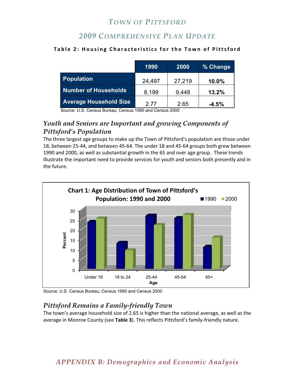## *2009 COMPREHENSIVE PLAN UPDATE*

#### **Table 2: Housing Characteristics for the Town of Pittsford**

|                               | 1990   | 2000   | % Change |
|-------------------------------|--------|--------|----------|
| <b>Population</b>             | 24,497 | 27,219 | 10.0%    |
| <b>Number of Households</b>   | 8,199  | 9,448  | 13.2%    |
| <b>Average Household Size</b> | 2 77   | 2.65   | $-4.5%$  |

Source: U.S. Census Bureau; Census 1990 and Census 2000

#### *Youth and Seniors are Important and growing Components of Pittsford's Population*

The three largest age groups to make up the Town of Pittsford's population are those under 18, between 25-44, and between 45-64. The under 18 and 45-64 groups both grew between 1990 and 2000, as well as substantial growth in the 65 and over age group. These trends illustrate the important need to provide services for youth and seniors both presently and in the future.



Source: U.S. Census Bureau; Census 1990 and Census 2000

### *Pittsford Remains a Family-friendly Town*

The town's average household size of 2.65 is higher than the national average, as well as the average in Monroe County (see **Table-3**). This reflects Pittsford's family-friendly nature.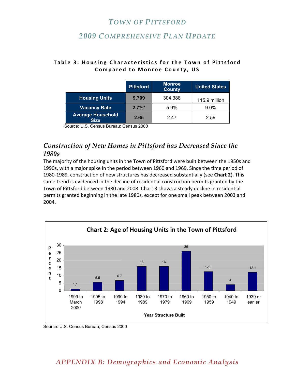### *2009 COMPREHENSIVE PLAN UPDATE*

|                                         | <b>Pittsford</b> | <b>Monroe</b><br><b>County</b> | <b>United States</b> |
|-----------------------------------------|------------------|--------------------------------|----------------------|
| <b>Housing Units</b>                    | 9,709            | 304,388                        | 115.9 million        |
| <b>Vacancy Rate</b>                     | $2.7\%$ *        | 5.9%                           | $9.0\%$              |
| <b>Average Household</b><br><b>Size</b> | 2.65             | 2 47                           | 2.59                 |

#### **Table 3: Housing Characteristics for the Town of Pittsford Compared to Monroe County, US**

Source: U.S. Census Bureau; Census 2000

#### *Construction of New Homes in Pittsford has Decreased Since the 1980s*

The majority of the housing units in the Town of Pittsford were built between the 1950s and 1990s, with a major spike in the period between 1960 and 1969. Since the time period of 1980-1989, construction of new structures has decreased substantially (see **Chart-2**). This same trend is evidenced in the decline of residential construction permits granted by the Town of Pittsford between 1980 and 2008. Chart 3 shows a steady decline in residential permits granted beginning in the late 1980s, except for one small peak between 2003 and 2004.



Source: U.S. Census Bureau; Census 2000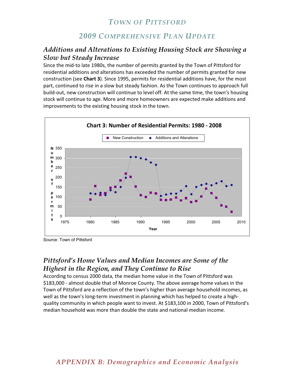#### *2009 COMPREHENSIVE PLAN UPDATE*

#### *Additions and Alterations to Existing Housing Stock are Showing a Slow but Steady Increase*

Since the mid-to late 1980s, the number of permits granted by the Town of Pittsford for residential additions and alterations has exceeded the number of permits granted for new construction (see **Chart-3**). Since 1995, permits for residential additions have, for the most part, continued to rise in a slow but steady fashion. As the Town continues to approach full build-out, new construction will continue to level off. At the same time, the town's housing stock will continue to age. More and more homeowners are expected make additions and improvements to the existing housing stock in the town.



Source: Town of Pittsford

#### *Pittsford's Home Values and Median Incomes are Some of the Highest in the Region, and They Continue to Rise*

According to census 2000 data, the median home value in the Town of Pittsford was \$183,000 - almost double that of Monroe County. The above average home values in the Town of Pittsford are a reflection of the town's higher than average household incomes, as well as the town's long-term investment in planning which has helped to create a highquality community in which people want to invest. At \$183,100 in 2000, Town of Pittsford's median household was more than double the state and national median income.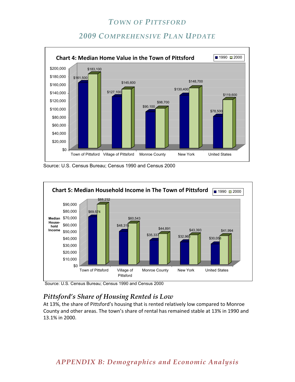## *2009 COMPREHENSIVE PLAN UPDATE*



Source: U.S. Census Bureau; Census 1990 and Census 2000



Source: U.S. Census Bureau; Census 1990 and Census 2000

#### *Pittsford's Share of Housing Rented is Low*

At 13%, the share of Pittsford's housing that is rented relatively low compared to Monroe County and other areas. The town's share of rental has remained stable at 13% in 1990 and 13.1% in 2000.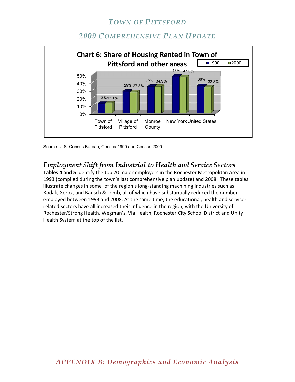## *2009 COMPREHENSIVE PLAN UPDATE*



Source: U.S. Census Bureau; Census 1990 and Census 2000

### *Employment Shift from Industrial to Health and Service Sectors*

Tables 4 and 5 identify the top 20 major employers in the Rochester Metropolitan Area in 1993 (compiled during the town's last comprehensive plan update) and 2008. These tables illustrate changes in some of the region's long-standing machining industries such as Kodak, Xerox, and Bausch & Lomb, all of which have substantially reduced the number employed between 1993 and 2008. At the same time, the educational, health and servicerelated sectors have all increased their influence in the region, with the University of Rochester/Strong Health, Wegman's, Via Health, Rochester City School District and Unity Health System at the top of the list.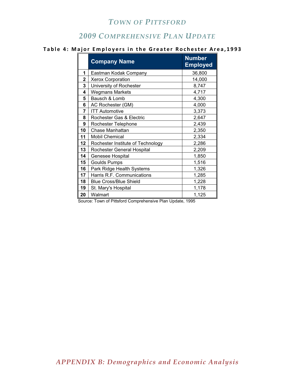## *COMPREHENSIVE PLAN UPDATE*

#### **Table-4:-Major-Employers-in-the-Greater-Rochester-Area,1993**

|    | <b>Company Name</b>               | <b>Number</b><br><b>Employed</b> |
|----|-----------------------------------|----------------------------------|
| 1  | Eastman Kodak Company             | 36,800                           |
| 2  | <b>Xerox Corporation</b>          | 14,000                           |
| 3  | University of Rochester           | 8,747                            |
| 4  | <b>Wegmans Markets</b>            | 4,717                            |
| 5  | Bausch & Lomb                     | 4,300                            |
| 6  | AC Rochester (GM)                 | 4,000                            |
| 7  | <b>ITT Automotive</b>             | 3,373                            |
| 8  | Rochester Gas & Electric          | 2,647                            |
| 9  | Rochester Telephone               | 2,439                            |
| 10 | Chase Manhattan                   | 2,350                            |
| 11 | <b>Mobil Chemical</b>             | 2,334                            |
| 12 | Rochester Institute of Technology | 2,286                            |
| 13 | Rochester General Hospital        | 2,209                            |
| 14 | Genesee Hospital                  | 1,850                            |
| 15 | <b>Goulds Pumps</b>               | 1,516                            |
| 16 | Park Ridge Health Systems         | 1,326                            |
| 17 | Harris R.F. Communications        | 1,285                            |
| 18 | <b>Blue Cross/Blue Shield</b>     | 1,228                            |
| 19 | St. Mary's Hospital               | 1,178                            |
| 20 | Walmart                           | 1,125                            |

Source: Town of Pittsford Comprehensive Plan Update, 1995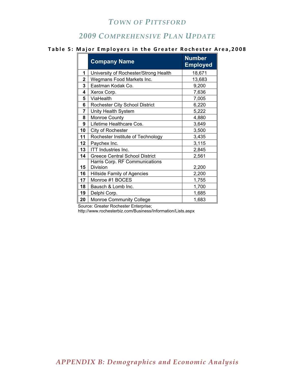## *COMPREHENSIVE PLAN UPDATE*

#### **Table 5: Major Employers in the Greater Rochester Area,2008**

|                         | <b>Company Name</b>                   | <b>Number</b><br><b>Employed</b> |
|-------------------------|---------------------------------------|----------------------------------|
| 1                       | University of Rochester/Strong Health | 18,671                           |
| $\overline{\mathbf{2}}$ | Wegmans Food Markets Inc.             | 13,683                           |
| 3                       | Eastman Kodak Co.                     | 9,200                            |
| 4                       | Xerox Corp.                           | 7,636                            |
| 5                       | ViaHealth                             | 7,005                            |
| 6                       | Rochester City School District        | 6,220                            |
| 7                       | Unity Health System                   | 5,222                            |
| 8                       | Monroe County                         | 4,880                            |
| 9                       | Lifetime Healthcare Cos.              | 3,649                            |
| 10                      | City of Rochester                     | 3,500                            |
| 11                      | Rochester Institute of Technology     | 3,435                            |
| 12                      | Paychex Inc.                          | 3,115                            |
| 13                      | <b>ITT</b> Industries Inc.            | 2,845                            |
| 14                      | <b>Greece Central School District</b> | 2,561                            |
|                         | Harris Corp. RF Communications        |                                  |
| 15                      | Division                              | 2,200                            |
| 16                      | <b>Hillside Family of Agencies</b>    | 2,200                            |
| 17                      | Monroe #1 BOCES                       | 1,755                            |
| 18                      | Bausch & Lomb Inc.                    | 1,700                            |
| 19                      | Delphi Corp.                          | 1,685                            |
| 20                      | <b>Monroe Community College</b>       | 1,683                            |

Source: Greater Rochester Enterprise;

http://www.rochesterbiz.com/Business/Information/Lists.aspx